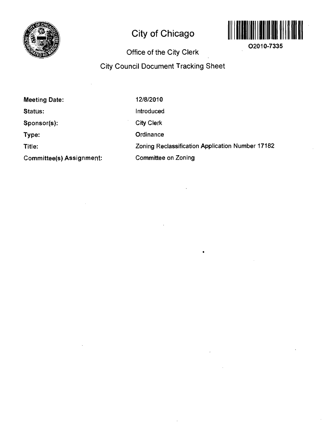

# **City of Chicago**



**O2010-7335** 

## **Office of the City Clerk**

## **City Council Document Tracking Sheet**

| <b>Meeting Date:</b>            | 12/8/2010                                        |
|---------------------------------|--------------------------------------------------|
| Status:                         | Introduced                                       |
| Sponsor(s):                     | <b>City Clerk</b>                                |
| Type:                           | Ordinance                                        |
| Title:                          | Zoning Reclassification Application Number 17182 |
| <b>Committee(s) Assignment:</b> | <b>Committee on Zoning</b>                       |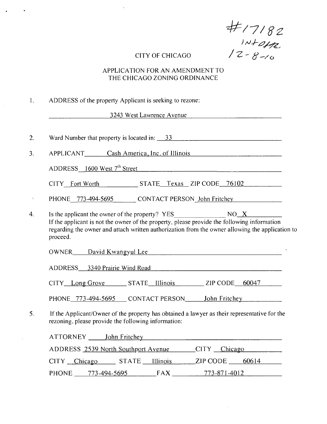*H* / 7/82<br>/*N+affz*<br>CITY OF CHICAGO / 2-8-10

## APPLICATION FOR AN AMENDMENT TO THE CHICAGO ZONING ORDINANCE

|  |  |  |  |  | ADDRESS of the property Applicant is seeking to rezone: |  |
|--|--|--|--|--|---------------------------------------------------------|--|
|--|--|--|--|--|---------------------------------------------------------|--|

3243 West Lawrence Avenue

| 2.           | Ward Number that property is located in: 33                                                                                                                                                                                    |
|--------------|--------------------------------------------------------------------------------------------------------------------------------------------------------------------------------------------------------------------------------|
| 3.           | APPLICANT Cash America, Inc. of Illinois                                                                                                                                                                                       |
|              | $ADDRESS \_ 1600 West 7th Street$                                                                                                                                                                                              |
|              | CITY Fort Worth STATE Texas ZIP CODE 76102                                                                                                                                                                                     |
| $\mathbb{Z}$ | PHONE 773-494-5695 CONTACT PERSON John Fritchey                                                                                                                                                                                |
| 4.           | If the applicant is not the owner of the property, please provide the following information<br>regarding the owner and attach written authorization from the owner allowing the application to<br>proceed.                     |
|              | OWNER David Kwangyul Lee David Kwangyul Lee                                                                                                                                                                                    |
|              | ADDRESS 3340 Prairie Wind Road                                                                                                                                                                                                 |
|              | CITY Long Grove STATE Illinois ZIP CODE 60047                                                                                                                                                                                  |
|              | PHONE 773-494-5695 CONTACT PERSON John Fritchey                                                                                                                                                                                |
| 5.           | If the Applicant/Owner of the property has obtained a lawyer as their representative for the<br>rezoning, please provide the following information:                                                                            |
|              | ATTORNEY John Fritchey Manuel Communication of the Manuel Communication of the Manuel Communication of the Manuel Communication of the Manuel Communication of the Manuel Communication of the Manuel Communication of the Man |
|              | ADDRESS 2539 North Southport Avenue CITY Chicago                                                                                                                                                                               |
|              | CITY Chicago STATE Illinois ZIP CODE 60614                                                                                                                                                                                     |
|              | $773-871-4012$<br>PHONE 773-494-5695 FAX                                                                                                                                                                                       |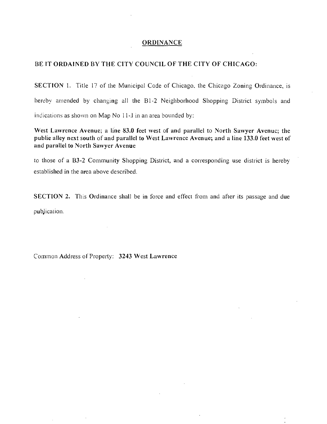#### **ORDINA.NCE**

#### **BE IT ORDAINED BY THE CITY COUNCIL OF THE CITY OF CHICAGO:**

SECTION 1. Title 17 of the Municipal Code of Chicago, the Chicago Zoning Ordinance, is hereby amended by changing all the 81-2 Neighborhood Shopping District symbols and indications as shown on Map No 11-,l in an area bounded by:

West Lawrence Avenue; a line 83.0 feet west of and parallel to North Sawyer Avenuc; the **public alley next south of and parallel to West Lawrence Avenue; and a line 133.0 feet west of and parnllcl to North Sawyer Avenue** 

10 those of a B3-2 Community Shopping District, and a corresponding use district is hereby established in the area above described.

SECTION 2. This Ordinance shall be in force and effect from and after its passage and due pubjicalion.

Common Address of Property: 3243 West Lawrence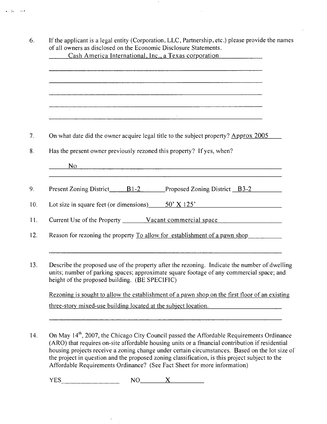| On what date did the owner acquire legal title to the subject property? Approx 2005                                                                                                                                                         |
|---------------------------------------------------------------------------------------------------------------------------------------------------------------------------------------------------------------------------------------------|
| Has the present owner previously rezoned this property? If yes, when?                                                                                                                                                                       |
| $N0$ and $N0$ and $N0$ and $N0$ and $N0$ and $N0$ and $N0$ and $N0$ and $N0$ and $N0$ and $N0$ and $N0$ and $N0$ and $N0$ and $N0$                                                                                                          |
| ,我们也不能在这里的时候,我们也不能会在这里,我们也不能会在这里的时候,我们也不能会在这里的时候,我们也不能会在这里的时候,我们也不能会在这里的时候,我们也不能                                                                                                                                                            |
|                                                                                                                                                                                                                                             |
| Lot size in square feet (or dimensions) $50' \times 125'$                                                                                                                                                                                   |
|                                                                                                                                                                                                                                             |
| Reason for rezoning the property To allow for establishment of a pawn shop                                                                                                                                                                  |
|                                                                                                                                                                                                                                             |
| Describe the proposed use of the property after the rezoning. Indicate the number of dwelling<br>units; number of parking spaces; approximate square footage of any commercial space; and<br>height of the proposed building. (BE SPECIFIC) |
| Rezoning is sought to allow the establishment of a pawn shop on the first floor of an existing                                                                                                                                              |
| three-story mixed-use building located at the subject location.                                                                                                                                                                             |
|                                                                                                                                                                                                                                             |
|                                                                                                                                                                                                                                             |

 $\bullet$ 

 $\bar{z}$ 

متباريها

(ARO) that requires on-site affordable housing units or a fmancial contribution if residential housing projects receive a zoning change under certain circumstances. Based on the lot size ol the project in question and the proposed zoning classification, is this project subject to the Affordable Requirements Ordinance? (See Fact Sheet for more information)

 $YES$   $NO$   $X$ 

 $\hat{\mathbf{v}}$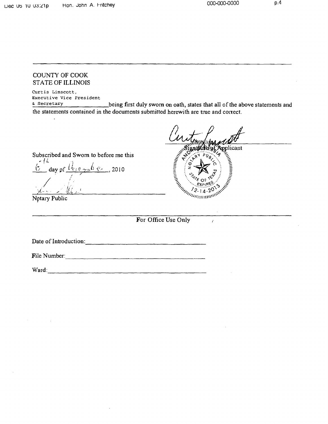#### COUNTY OF COOK STATE OF ILLINOIS

Curtis Linscott, Executive Vice President

 $\frac{1}{2}$  Secretary being first duly swom on oath, states that all of the above statements and the statements contained in the documents submitted herewith are true and correct.

oplicant WIRELESS OF REAL PROPERTY

 $\epsilon$ 

/ day of  $\frac{U_{\xi,\xi} - \mu_b}{\xi}$   $\frac{U_{\xi,\xi} - \mu_b}{\xi}$ , 2010

Subscribed and Swom to before me this

••X-

Notary Public

**For Office Use Only** 

Date of Introduction:

File Number:

Ward: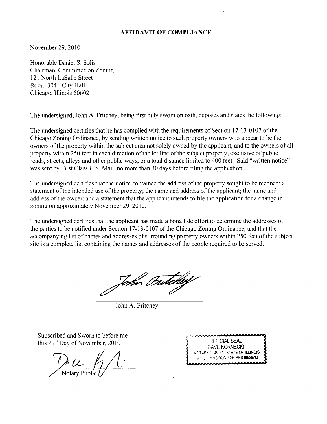#### **AFFIDAVIT OF COMPLIANCE**

November 29, 2010

Honorable Daniel S, Solis Chairman, Committee on Zoning 121 North LaSalle Street Room 304 - City Hall Chicago, Illinois 60602

The undersigned, John A, Fritchey, being first duly swom on oath, deposes and states the following:

The undersigned certifies that he has complied with the requirements of Section 17-13-0107 of the Chicago Zoning Ordinance, by sending written notice to such property owners who appear to be the owners of the property within the subject area not solely owned by the applicant, and to the owners of all property within 250 feet in each direction of the lot line of the subject property, exclusive of public roads, streets, alleys and other public ways, or a total distance limited to 400 feet. Said "written notice" was sent by First Class U,S, Mail, no more than 30 days before filing the application.

The undersigned certifies that the notice contained the address of the property sought to be rezoned; a statement of the intended use of the property; the name and address of the applicant; the name and address of the owner; and a statement that the applicant intends to file the application for a change in zoning on approximately November 29, 2010,

The undersigned certifies that the applicant has made a bona fide effort to determine the addresses of the parties to be notified under Section 17-13-0107 of the Chicago Zoning Ordinance, and that the accompanying list of names and addresses of surrounding property owners within 250 feet ofthe subject site is a complete list containing the names and addresses of the people required to be served.

John Fritcher

John A, Fritchey

Subscribed and Sworn to before me this 29<sup>th</sup> Day of November, 2010

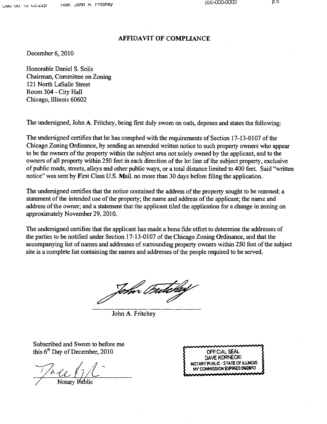#### **AFFIDAVIT OF COMPLIANCE**

December 6, 2010

Honorable Daniel S. Solis Chairman, Committee on Zoning 121 North LaSalle Street Room 304 - City Hall Chicago, Illinois 60602

The undersigned, John A. Fritchey, being first duly swom on oath, deposes and states the following:

The undersigned certifies that he has comphed with the requirements of Section 17-13-0107 of the Chicago Zoning Ordinance, by sending an amended written notice to such property owners who appear to be the owners of the property within the subject area not solely owned by the applicant, and to the owners of all property wthin 250 feet in each direction of the lot line of the subject property, exclusive of public roads, streets, alleys and other public ways, or a total distance limited to 400 feet. Said "written notice" was sent by First Class U.S. Mail, no more than 30 days before filing the application.

The undersigned certifies that the notice contained the address of the property sought to be rezoned; a statement of the intended use of the property; the name and address of the applicant; the name and address of the owner; and a statement that the applicant tiled the application for a change in zoning on approximately November 29, 2010.

The undersigned certifies that the applicant has made a bona fide etfort to determine the addresses of the parties to be notified under Section 17-13-0107 ofthe Chicago Zoning Ordinance, and that the accompanying list of names and addresses of surrounding property owners within 250 feet of the subject site is a complete list containing the names and addresses of the people required to be served.

Tom Fritchey

John A. Fritchey

Subscribed and Swom to before me this  $6<sup>th</sup>$  Day of December, 2010  $\overline{)}$  OFFICIAL SEAL

Notary Public

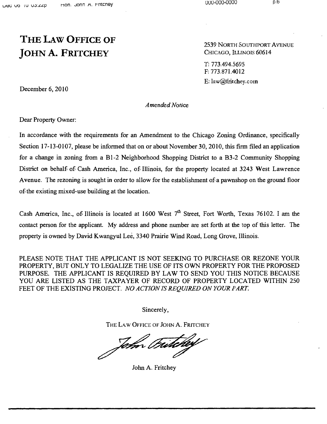# **THE LAW OFFICE OF JOHN A. FRITCHEY**

2539 NORTH SOUTHPORT AVENUE CHICAGO, ILLINOIS 60614

T: 773.494.5695 F: 773.871.4012 E: law@£ritchey.cotn

December 6, 2010

*Amended Notice* 

Dear Property Owner:

In accordance with the requirements for an Amendment to the Chicago Zoning Ordinance, specifically Section 17-13-0107, please be informed that on or about November 30, 2010, this firm filed an application for a change in zoning from a Bl-2 Neighborhood Shopping District to a B3-2 Community Shopping District on behalf of Cash America, Inc., of Illinois, for the property located at 3243 West Lawrence Avenue. The rezoning is sought in order to allow for the establishment of a pawnshop on the ground floor of the existing mixed-use building at the location.

Cash America, Inc., of Illinois is located at 1600 West  $7<sup>th</sup>$  Street, Fort Worth, Texas 76102. I am the contact person for the applicant. My address and phone number are set forth at the top of this letter. The property is owned by David Kwangyul Lee, 3340 Prairie Wind Road, Long Grove, Illinois.

*PLEASE NOTE THAT THE APPLICANT IS NOT SEEKING TO PURCHASE OR REZONE YOUR PROPERTY, BUT ONLY TO LEGALIZE THE USE OF ITS OWN PROPERTY FOR THE PROPOSED*  PURPOSE. THE APPLICANT IS REQUIRED BY LAW TO SEND YOU THIS NOTICE BECAUSE YOU ARE LISTED AS THE TAXPAYER OF RECORD OF PROPERTY LOCATED WITHIN 250 FEET OF THE EXISTING PROJECT. NO ACTION IS REQUIRED ON YOUR PART.

Sincerely,

THE LAW OFFICE OF JOHN A. FRITCHEY

John Fritchey

John A. Fritchey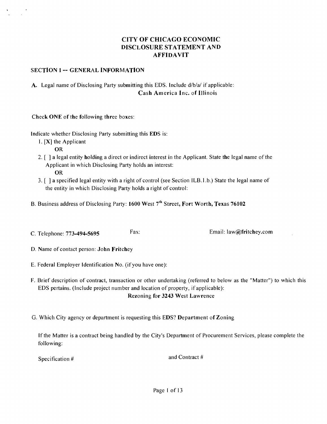## **CITY OF CHICAGO ECONOMIC DISCLOSURE STATEMENT AND AFFIDAVIT**

#### **SECTION 1 -- GENERAL INFORMATION**

## A. Legal name of Disclosing Party submitting this EDS, Include d/b/a/ if applicable: **Cash America Inc. of Illinois**

Check ONE of the following three boxes:

Indicate whether Disclosing Party submitting this EDS is:

1, [X] the Applicant

**OR** 

- 2, [ ] a legal entity holding a direct or indirect interest in the Applicant, State the legal name ofthe Applicant in which Disclosing Party holds an interest: OR
- 3, [ ] a specified legal entity with a right of control (see Section ILB,l,b,) State the legal name of the entity in which Disclosing Party holds a right of control:
- **B. Business address of Disclosing Party: 1600 West 7<sup>th</sup> Street, Fort Worth, Texas 76102**
- **C, Telephone: 773-494-5695 Email: law@fritchey.com**

**D, Name of contact person: John Fritchey** 

- E, Federal Employer Identification No, (if you have one):
- F, Brief description of contract, transaction or other undertaking (referred to below as the "Matter") to which this EDS pertains, (Include project number and location of property, if applicable): **Rezoning for 3243 West Lawrence**

G. Which City agency or department is requesting this EDS? Department of Zoning

If the Matter is a contract being handled by the City's Department of Procurement Services, please complete the following:

Specification # and Contract #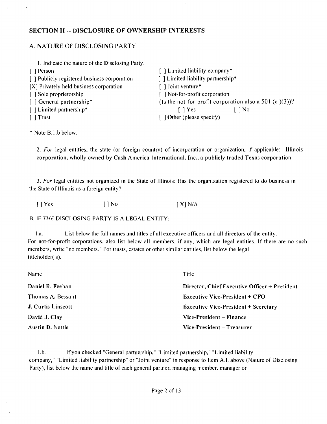#### **SECTION II - DISCLOSURE OF OWNERSHIP INTERESTS**

## A, NATURE OF DISCLOSING PARTY

| 1. Indicate the nature of the Disclosing Party: |                                                           |
|-------------------------------------------------|-----------------------------------------------------------|
| [ ] Person                                      | [] Limited liability company*                             |
| [ ] Publicly registered business corporation    | [] Limited liability partnership*                         |
| [X] Privately held business corporation         | [] Joint venture*                                         |
| [ ] Sole proprietorship                         | [] Not-for-profit corporation                             |
| [] General partnership*                         | (1s the not-for-profit corporation also a 501 (c $(3)$ )? |
| [   Limited partnership*                        | $\log$<br>$\lceil \ \rceil$ Yes                           |
| $[$ Trust                                       | $\lceil$ 1 Other (please specify)                         |

\* Note B,l.b below.

**2. For legal entities, the state (or foreign country) of incorporation or organization, if applicable: Illinois corporation, wholly owned by Cash America International, Inc., a publicly traded Texas corporation** 

3, For legal entities not organized in the State of Illinois: Has the organization registered to do business in the State of Illinois as a foreign entity?

 $[$  | Yes  $[$  | No  $[$   $X]$  N/A

B, IF THE DISCLOSING PARTY IS A LEGAL ENTITY:

I,a. List below the full names and titles of all executive officers and all directors of the entit)'. For not-for-profit corporations, also list below all members, if any, which are legal entities. If there are no such members, write "no members." For trusts, estates or other similar entities, list below the legal titleholder( s).

| Name               | Title                                         |
|--------------------|-----------------------------------------------|
| Daniel R. Feehan   | Director, Chief Executive Officer + President |
| Thomas A. Bessant  | Executive Vice-President $+$ CFO              |
| J. Curtis Linscott | <b>Executive Vice-President + Secretary</b>   |
| David J. Clay      | Vice-President – Finance                      |
| Austin D. Nettle   | Vice-President – Treasurer                    |

l,b. If you checked "General partnership," "Limited partnership," "Limited liability company," "Limited liability partnership" or "Joint venture" in response to Item A.I. above (Nature of Disclosing Party), list below the name and title of each general partner, managing member, manager or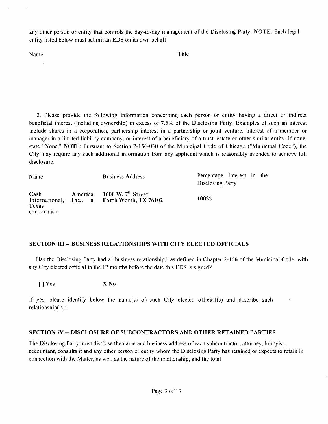any other person or entity that controls the day-to-day management of the Disclosing Party, NOTE: Each legal entity listed below must submit an EDS on its own behalf

Name Title

2. Please provide the following information concerning each person or entity having a direct or indirect beneficial interest (including ownership) in excess of 7,5% of the Disclosing Party, Examples of such an interest include shares in a corporation, partnership interest in a partnership or joint venture, interest of a member or manager in a limited liability company, or interest of a beneficiary of a trust, estate or other similar entity. If none, state "None." NOTE: Pursuant to Section 2-154-030 of the Municipal Code of Chicago ("Municipal Code"), the City may require any such additional information from any applicant which is reasonably intended to achieve full disclosure.

| Name                                           |         | <b>Business Address</b>                                      | Percentage Interest in the<br>Disclosing Party |
|------------------------------------------------|---------|--------------------------------------------------------------|------------------------------------------------|
| Cash<br>International,<br>Texas<br>corporation | America | 1600 W. $7th$ Street<br>Inc., $\alpha$ Forth Worth, TX 76102 | 100%                                           |

#### **SECTION III - BUSINESS RELATIONSHIPS WITH CITY ELECTED OFFICIALS**

Has the Disclosing Party had a "business relationship," as defined in Chapter 2-156 of the Municipal Code, with any City elected official in the 12 months before the date this EDS is signed?

[ ] Yes X No

If yes, please identify below the name(s) of such City elected official(s) and describe such relationship( s):

#### **SECTION iV - DISCLOSURE OF SUBCONTRACTORS AND OTHER RETAINED PARTIES**

The Disclosing Party must disclose the name and business address of each subcontractor, attorney, lobbyist, accountant, consultant and any other person or entity whom the Disclosing Party has retained or expects to retain in connection with the Matter, as well as the nature of the relationship, and the total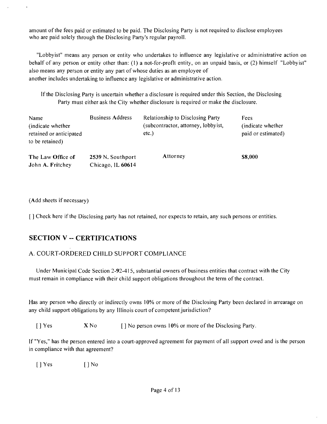amount ofthe fees paid or estimated to be paid. The Disclosing Party is not required to disclose employees who are paid solely through the Disclosing Party's regular payroll,

"Lobbyist" means any person or entity who undertakes to influence any legislative or administrative action on behalf of any person or entity other than: (1) a not-for-profit entity, on an unpaid basis, or (2) himself "Lobbyist" also means any person or entity any part of whose duties as an employee of another includes undertaking to infiuence any legislative or administrative action.

If the Disclosing Party is uncertain whether a disclosure is required under this Section, the Disclosing Party must either ask the City whether disclosure is required or make the disclosure.

| Name<br>(indicate whether)<br>retained or anticipated<br>to be retained) | <b>Business Address</b>                | <b>Relationship to Disclosing Party</b><br>(subcontractor, attorney, lobby ist,<br>etc.) | Fees<br>(indicate whether)<br>paid or estimated) |
|--------------------------------------------------------------------------|----------------------------------------|------------------------------------------------------------------------------------------|--------------------------------------------------|
| The Law Office of<br>John A. Fritchey                                    | 2539 N. Southport<br>Chicago, IL 60614 | Attorney                                                                                 | \$8,000                                          |

(Add sheets if necessary)

[] Check here if the Disclosing party has not retained, nor expects to retain, any such persons or entities.

## **SECTION V ~ CERTIFICATIONS**

## A. COURT-ORDERED CHILD SUPPORT COMPLIANCE

Under Municipal Code Section 2-92-415, substantial owners of business entities that contract with the City must remain in compliance with their child support obligations throughout the term of the contract.

Has any person who directly or indirectly owns 10% or more of the Disclosing Party been declared in arrearage on any child support obligations by any Illinois court of competent jurisdiction?

[ ] Yes X No [ ] No person owns 10% or more of the Disclosing Party.

If "Yes," has the person entered into a court-approved agreement for payment of all support owed and is the person in compliance with that agreement?

[]Yes []No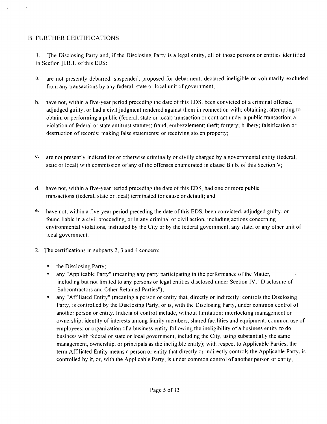## B, FURTHER CERTIFICATIONS

1, The Disclosing Party and, ifthe Disclosing Party is a legal entity, all of those persons or entities identified in Secfion ILB.l. of this EDS:

- a. are not presently debarred, suspended, proposed for debarment, declared ineligible or voluntarily excluded from any transactions by any federal, state or local unit of government;
- b. have not, within a five-year period preceding the date of this EDS, been convicted of a criminal offense, adjudged guilty, or had a civil judgment rendered against them in connection with: obtaining, attempting to obtain, or performing a public (federal, state or local) transaction or contract under a public transaction; a violation of federal or state antitrust statutes; fraud; embezzlement; theft; forgery; bribery; falsification or destruction of records; making false statements; or receiving stolen property;
- $c_{\cdot}$ are not presently indicted for or otherwise criminally or civilly charged by a governmental entity (federal, state or local) with commission of any of the offenses enumerated in clause B.t.b. of this Section V;
- d, have not, within a five-year period preceding the date of this EDS, had one or more public transactions (federal, state or local) terminated for cause or default; and
- e. have not, within a five-year period preceding the date of this EDS, been convicted, adjudged guilty, or found liable in a civil proceeding, or in any criminal or civil action, including actions concerning environmental violations, insfituted by the City or by the federal government, any state, or any other unit of local government,
- 2, The certifications in subparts 2, 3 and 4 concern:
	- the Disclosing Party;
	- any "Applicable Party" (meaning any party participating in the performance of the Matter, including but not limited to any persons or legal entities disclosed under Section IV, "Disclosure of Subcontractors and Other Retained Parties");
	- any "Affiliated Entity" (meaning a person or entity that, directly or indirectly: controls the Disclosing Party, is controlled by the Disclosing Party, or is, with the Disclosing Party, under common control of another person or entity. Indicia of control include, without limitation: interlocking management or ownership; identity of interests among family members, shared facilities and equipment; common use of employees; or organization of a business entity following the ineligibility of a business entity to do business with federal or state or local government, including the City, using substantially the same management, ownership, or principals as the ineligible entity); with respect to Applicable Parties, the term Affiliated Entity means a person or entity that directly or indirectly controls the Applicable Party, is controlled by it, or, with the Applicable Party, is under common control of another person or entity;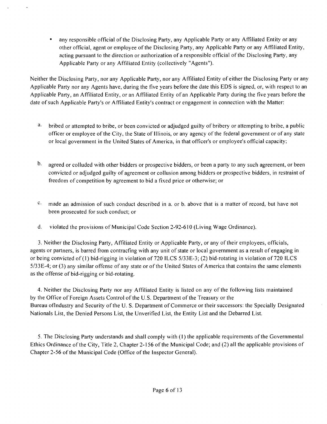any responsible official of the Disclosing Party, any Applicable Party or any Affiliated Entity or any other official, agent or employee of the Disclosing Party, any Applicable Party or any Affiliated Entity, acting pursuant to the direction or authorization of a responsible official ofthe Disclosing Party, any Applicable Party or any Affiliated Entity (collectively "Agents"),

Neither the Disclosing Party, nor any Applicable Party, nor any Affiliated Entity of either the Disclosing Party or any Applicable Party nor any Agents have, during the five years before the date this EDS is signed, or, with respect to an Applicable Party, an Affiliated Entity, or an Affiliated Entity of an Applicable Party during the five years before the date of such Applicable Party's or Affiliated Entity's contract or engagement in connection with the Matter:

- a. bribed or attempted to bribe, or been convicted or adjudged guilty of bribery or attempting to bribe, a public officer or employee ofthe City, the State of Illinois, or any agency ofthe federal government or ofany state or local government in the United States of America, in that officer's or employee's official capacity;
- b. agreed or colluded with other bidders or prospective bidders, or been a party to any such agreement, or been convicted or adjudged guilty of agreement or collusion among bidders or prospective bidders, in restraint of freedom of competition by agreement to bid a fi.xed price or otherwise; or
- $c_{\rm r}$ made an admission of such conduct described in a, or b, above that is a matter of record, but have not been prosecuted for such conduct; or
- d, violated the provisions of Municipal Code Section 2-92-610 (Living Wage Ordinance),

3, Neither the Disclosing Party, Affiliated Entity or Applicable Party, or any of their employees, officials, agents or partners, is barred from contracfing with any unit of state or local government as a result of engaging in or being convicted of (1) bid-rigging in violation of 720 ILCS 5/33E-3; (2) bid-rotating in violation of 720 ILCS 5/33E-4; or (3) any similar offense of any state or of the United States of America that contains the same elements as the offense of bid-rigging or bid-rotating,

4. Neither the Disclosing Party nor any Affiliated Entity is listed on any of the following lists maintained by the Office of Foreign Assets Control of the U.S, Department of the Treasury or the Bureau oflndustry and Security of the U. S. Department of Commerce or their successors: the Specially Designated Nationals List, the Denied Persons List, the Unverified List, the Entity List and the Debarred List,

5. The Disclosing Party understands and shall comply with (I) the applicable requirements ofthe Governmental Ethics Ordinance of the City, Title 2, Chapter 2-156 ofthe Municipal Code; and (2) all the applicable provisions of Chapter 2-56 of the Municipal Code (Office of the Inspector General),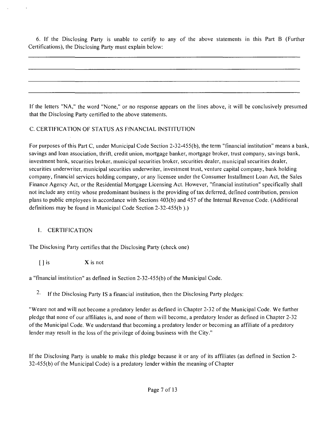6. If the Disclosing Party is unable to certify to any of the above statements in this Part B (Further Certifications), the Disclosing Party must explain below:

If the letters "NA," the word "None," or no response appears on the lines above, it will be conclusively presumed that the Disclosing Party certified to the above statements.

## C. CERTIFICATION OF STATUS AS FfNANCIAL INSTITUTION

For purposes of this Part C, under Municipal Code Section 2-32-455(b), the term "financial institution" means a bank, savings and loan association, thrift, credit union, mortgage banker, mortgage broker, trust company, savings bank, investment bank, securities broker, municipal securities broker, securities dealer, municipal securities dealer, securities underwriter, municipal securities underwriter, investment trust, venture capital company, bank holding company, financial services holding company, or any licensee under the Consumer Installment Loan Act, the Sales Finance Agency Act, or the Residential Mortgage Licensing Act. However, "financial institution" specifically shall not include any entity whose predominant business is the providing of tax deferred, defined contribution, pension plans to public employees in accordance with Sections 403(b) and 457 ofthe Internal Revenue Code. (Additional definitions may be found in Municipal Code Section 2-32-455(b ).)

## I, CERTIFICATION

The Disclosing Party certifies that the Disclosing Party (check one)

 $\begin{bmatrix} \n\end{bmatrix}$  is  $\begin{array}{c} \nX \n\end{array}$  is not

a "fmancial institution" as defined in Section 2-32-455(b) of the Municipal Code,

<sup>2.</sup> If the Disclosing Party IS a financial institution, then the Disclosing Party pledges:

"Weare not and will not become a predatory lender as defined in Chapter 2-32 of the Municipal Code, We further pledge that none of our affiliates is, and none of them will become, a predatory lender as defined in Chapter 2-32 ofthe Municipal Code, We understand that becoming a predatory lender or becoming an affiliate of a predatory lender may result in the loss of the privilege of doing business with the City."

If the Disclosing Party is unable to make this pledge because it or any of its affiliates (as defined in Section 2-  $32-455(b)$  of the Municipal Code) is a predatory lender within the meaning of Chapter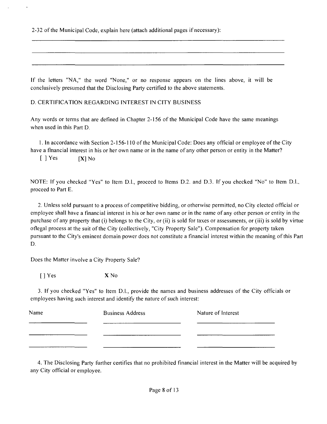2-32 of the Municipal Code, explain here (attach additional pages if necessary):

If the letters "NA," the word "None," or no response appears on the lines above, it will be conclusively presumed that the Disclosing Party certified to the above statements.

D. CERTIFICATION REGARDING INTEREST IN CITY BUSINESS

Any words or terms that are defined in Chapter 2-156 of the Municipal Code have the same meanings when used in this Part D.

1. In accordance with Section 2-156-110 of the Municipal Code: Does any official or employee ofthe City have a fmancial interest in his or her own name or in the name of any other person or entity in the Matter?

 $[$  ] Yes  $[X]$  No

NOTE: If you checked "Yes" to Item D.l., proceed to Items D.2. and D.3. If you checked "No" to Item D.l., proceed to Part E,

2. Unless sold pursuant to a process of competitive bidding, or otherwise permitted, no City elected official or employee shall have a financial interest in his or her own name or in the name of any other person or entity in the purchase of any property that (i) belongs to the City, or (ii) is sold for taxes or assessments, or (iii) is sold by virtue otlegal process at the suit of the City (collectively, "City Property Sale"), Compensation for property taken pursuant to the City's eminent domain power does not constitute a financial interest within the meaning ofthis Part D,

Does the Matter involve a City Property Sale?

[]Yes XNo

3, If you checked "Yes" to Item D,l,, provide the names and business addresses ofthe City officials or employees having such interest and identify the nature of such interest:

| Name | <b>Business Address</b> | Nature of Interest |
|------|-------------------------|--------------------|
|      |                         |                    |
|      |                         |                    |

4, The Disclosing Party further certifies that no prohibited financial interest in the Matter will be acquired by any City official or employee.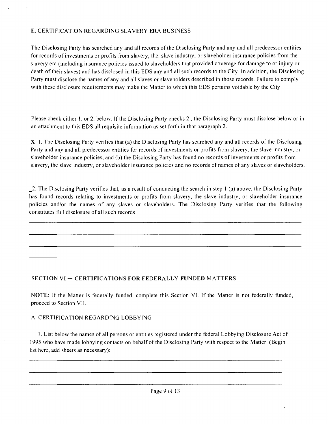## E, CERTIFICATION REGARDING SLAVERY ERA BUSINESS

The Disclosing Party has searched any and all records of the Disclosing Party and any and all predecessor entities for records of investments or profits from slavery, the. slave industry, or slaveholder insurance policies from the slavery era (including insurance policies issued to slaveholders that provided coverage for damage to or injury or death of their slaves) and has disclosed in this EDS any and all such records to the City, In addition, the Disclosing Party must disclose the names of any and all slaves or slaveholders described in those records. Failure to comply with these disclosure requirements may make the Matter to which this EDS pertains voidable by the City.

Please check either 1, or 2, below. If the Disclosing Party checks 2,, the Disclosing Party must disclose below or in an attachment to this EDS all requisite information as set forth in that paragraph 2,

 $X$  I. The Disclosing Party verifies that (a) the Disclosing Party has searched any and all records of the Disclosing Party and any and all predecessor entities for records of investments or profits from slavery, the slave industry, or slaveholder insurance policies, and (b) the Disclosing Party has found no records of investments or profits from slavery, the slave industry, or slaveholder insurance policies and no records of names of any slaves or slaveholders.

\_2. The Disclosing Party verifies that, as a result of conducting the search in step I (a) above, the Disclosing Party has Ibund records relating to investments or profits from slavery, the slave industry, or slaveholder insurance policies and/or the names of any slaves or slaveholders. The Disclosing Party verifies that the following constitutes full disclosure of all such records:

## **SECTION VI ~ CERTIFICATIONS FOR FEDERALLY-FUNDED MATTERS**

NOTE: If the Matter is federally funded, complete this Section VI. If the Matter is not federally funded, proceed to Section VII,

#### A, CERTIFICATION REGARDfNG LOBBYING

1, List below the names of all persons or entities registered under the federal Lobbying Disclosure Act of 1995 who have made lobbying contacts on behalf ofthe Disclosing Party with respect to the Matter: (Begin list here, add sheets as necessary):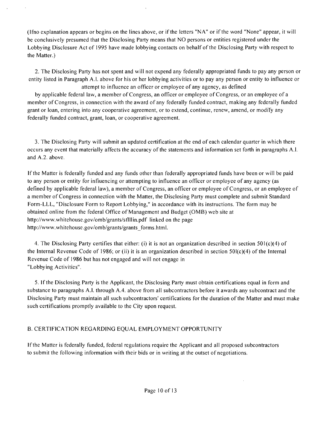(Ifno explanation appears or begins on the lines above, or ifthe letters "NA" or if the word "None" appear, it will be conclusively presumed that the Disclosing Party means that NO persons or entities registered under the Lobbying Disclosure Act of 1995 have made lobbying contacts on behalf of the Disclosing Party with respect to the Matter.)

2, The Disclosing Party has not spent and will not expend any federally appropriated funds to pay any person or entity listed in Paragraph A.l, above for his or her lobbying activities or to pay any person or entity to influence or attempt to influence an officer or employee of any agency, as defined

by applicable federal law, a member of Congress, an officer or employee of Congress, or an employee of a member of Congress, in connection with the award of any federally funded contract, making any federally funded grant or loan, entering into any cooperative agreement, or to extend, continue, renew, amend, or modily any federally funded contract, grant, loan, or cooperative agreement.

3. The Disclosing Party will submit an updated certification at the end of each calendar quarter in which there occurs any event that materially affects the accuracy of the statements and information set forth in paragraphs A.l. and A.2, above.

If the Matter is federally funded and any funds other than federally appropriated funds have been or will be paid to any person or entity for infiuencing or attempting to influence an officer or employee of any agency (as defined by applicable federal law), a member of Congress, an officer or employee of Congress, or an employee of a member of Congress in connection with the Matter, the Disclosing Party must complete and submit Standard Form-LLL, "Disclosure Form to Report Lobbying," in accordance with its instructions. The form may be obtained online from the federal Office of Management and Budget (OMB) web site at http://www.whitehouse.gov/omb/grants/stlllin.pdf linked on the page http://www.whitehouse.gov/omb/grants/grants\_forms.html.

4. The Disclosing Party certifies that either: (i) it is not an organization described in section  $501(c)(4)$  of the Internal Revenue Code of 1986; or (ii) it is an organization described in section  $50I(c)(4)$  of the Internal Revenue Code of 1986 but has not engaged and will not engage in "Lobbying Activities".

5. Ifthe Disclosing Party is the Applicant, the Disclosing Party must obtain certifications equal in form and substance to paragraphs A,I, through A,4. above from all subcontractors before it awards any subcontract and the Disclosing Party must maintain all such subcontractors' certifications for the duration of the Matter and must make such certifications promptly available to the City upon request.

## B, CERTIFICATION REGARDING EQUAL EMPLOYMENT OPPORTUNITY

Ifthe Matter is federally funded, federal regulations require the Applicant and all proposed subcontractors to submit the following information with their bids or in writing at the outset of negotiations.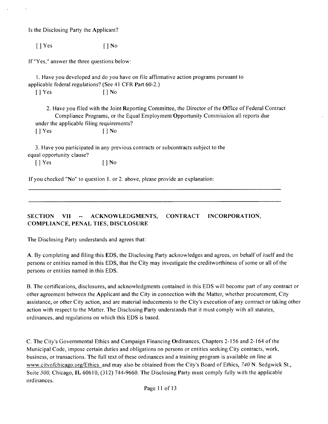Is the Disclosing Party the Applicant?

 $[ ]$  Yes  $[ ]$  No

If "Yes," answer the three questions below:

1, Have you developed and do you have on file affirmative action programs pursuant to applicable federal regulations? (See 41 CFR Part 60-2.)

 $[ ]$  Yes  $[ ]$  No

2. Have you filed with the Joint Reporting Committee, the Director ofthe Office of Federal Contract Compliance Programs, or the Equal Employment Opportunity Commission all reports due under the applicable filing requirements?  $[$  | Yes  $[$  | No

3. Have you participated in any previous contracts or subcontracts subject to the equal opportunity clause?

[] Yes [] No

If you checked "No" to question I, or 2, above, please provide an explanation:

**SECTION VII - ACKNOWLEDGMENTS, CONTRACT INCORPORATION, COMPLIANCE, PENAL TIES, DISCLOSURE** 

The Disclosing Party understands and agrees that:

A, By completing and filing this EDS, the Disclosing Party acknowledges and agrees, on behalf of itself and the persons or entities named in this EDS, that the City may investigate the creditworthiness of some or all ofthe persons or entities named in this EDS,

B. The certifications, disclosures, and acknowledgments contained in this EDS will become part of any contract or other agreement between the Applicant and the City in connection with the Matter, whether procurement, City assistance, or other City action, and are material inducements to the City's execution ofany contract or taking other action with respect to the Matter, The Disclosing Party understands that it must comply with all statutes, ordinances, and regulations on which this EDS is based.

C. The City's Governmental Ethics and Campaign Financing Ordinances, Chapters 2-156 and 2-164 ofthe Municipal Code, impose certain duties and obligations on persons or entities seeking City contracts, work, business, or transactions. The full text of these ordinances and a training program is available on line at www.citvofchicago.org/Ethics, and may also be obtained from the City's Board of Ethics, 740 N. Sedgwick St., Suite 500, Chicago, IL 60610, (312) 744-9660. The Disclosing Party must comply fully with the applicable ordinances.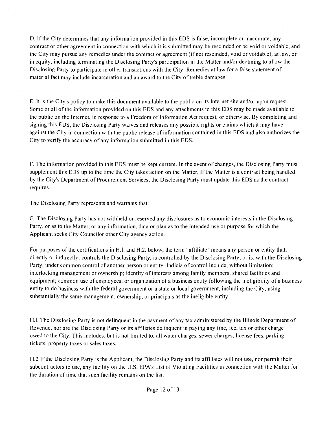D, If the City determines that any informafion provided in this EDS is false, incomplete or inaccurate, any contract or other agreement in connection with which it is submitted may be rescinded or be void or voidable, and the City may pursue any remedies under the contract or agreement (if not rescinded, void or voidable), at law, or in equity, including terminating the Disclosing Party's participation in the Matter and/or declining to allow the Disclosing Party to participate in other transactions with the City. Remedies at law for a false statement of material fact may include incarceration and an award to the City of treble damages.

E, It is the City's policy to make this document available to the public on its Internet site and/or upon request. Some or all of the information provided on this EDS and any attachments to this EDS may be made available to the public on the Internet, in response to a Freedom of Information Act request, or otherwise. By completing and signing this EDS, the Disclosing Party waives and releases any possible rights or claims which it may have against the City in connection with the public release of information contained in this EDS and also authorizes the City to verify the accuracy of any information submitted in this EDS.

F, The information provided in this EDS must be kept current. In the event of changes, the Disclosing Party must supplement this EDS up to the time the City takes action on the Matter. If the Matter is a contract being handled by the City's Department of Procurement Services, the Disclosing Party must update this EDS as the contract requires.

The Disclosing Party represents and warrants that:

G, The Disclosing Party has not withheld or reserved any disclosures as to economic interests in the Disclosing Party, or as to the Matter, or any information, data or plan as to the intended use or purpose for which the Applicant seeks City Councilor other City agency action.

For purposes of the certifications in H,l, and H.2. below, the term "affiliate" means any person or entity that, directly or indirectly: controls the Disclosing Party, is controlled by the Disclosing Party, or is, with the Disclosing Party, under common control of another person or entity. Indicia of control include, without limitation: interlocking management or ownership; identity of interests among family members; shared facilities and equipment; common use of employees; or organization of a business entity following the ineligibility of a business entity to do business with the federal government or a state or local government, including the City, using substantially the same management, ownership, or principals as the ineligible entity.

H.I. The Disclosing Party is not delinquent in the payment of any tax administered by the Illinois Department of Revenue, nor are the Disclosing Party or its affiliates delinquent in paying any fine, fee, tax or other charge owed to the City. This includes, but is not limited to, all water charges, sewer charges, license fees, parking tickets, property taxes or sales taxes.

H,2 Ifthe Disclosing Party is the Applicant, the Disclosing Party and its affiliates will not use, nor permit their subcontractors to use, any facility on the U,S. EPA's List of Violating Facilities in connection with the Matter for the duration of time that such facility remains on the list.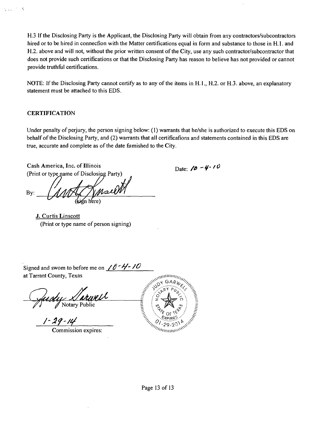H,3 If the Disclosing Party is the Applicant, the Disclosing Party will obtain from any contractors/subcontractors hired or to be hired in connecfion with the Matter certifications equal in form and substance to those in H, 1, and H.2. above and will not, without the prior written consent of the City, use any such contractor/subcontractor that does not provide such certifications or that the Disclosing Party has reason to believe has not provided or cannot provide truthful certifications.

NOTE: If the Disclosing Party cannot certify as to any of the items in H.l., H.2. or H.3. above, an explanatory statement must be attached to this EDS.

## **CERTIFICATION**

 $\mathcal{L}_{\text{max}}$  $\overline{a}$ 

> Under penalty of perjury, the person signing below: (1) warrants that he/she is authorized to execute this EDS on behalf of the Disclosing Party, and (2) warrants that all certificafions and statements contained in this EDS are true, accurate and complete as of the date fiimished to the City.

Cash America, Inc. of Illinois Date:  $\theta - 4 \cdot 10$ (Print or type name of Disclosing Party)

By:

**J. Curtis Linscott**  (Print or type name of person signing)

Signed and swom to before me on  $\angle 0 - \frac{1}{7}$ at Tarrant County, Texas

Gudy Sarwell 2 2  $\forall V \quad \forall \text{ Noary rule}$  =  $\mathbb{E} \left\{ \mathscr{L}, \mathscr{L} \right\}$ 

 $\frac{1 - 29 - 14}{$  Commission expires:

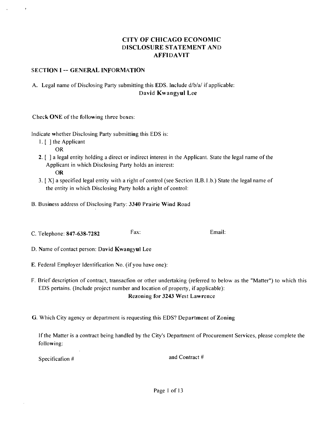## **CITY OF CHICAGO ECONOMIC DISCLOSURE STATEMENT AND AFFIDAVIT**

#### **SECTION I -- GENERAL INFORMATION**

## A. Legal name of Disclosing Party submitting this EDS. Include d/b/a/ if applicable: **David Kwangyul Lee**

Check ONE of the following three boxes:

Indicate whether Disclosing Party submitting this EDS is:

- 1, [ ] the Applicant
	- OR

 $\cdot$ 

- 2, [ ] a legal entity holding a direct or indirect interest in the Applicant. State the legal name ofthe Applicant in which Disclosing Party holds an interest: OR
- 3, [ X] a specified legal entity with a right of control (see Section ILB, I .b,) State the legal name of the entity in which Disclosing Party holds a right of control:
- **B, Business address of Disclosing Party: 3340 Prairie Wind Road**
- C. Telephone: 847-638-7282 Fax: Fax: Email:
- **D, Name of contact person: David Kwangyul Lee**
- E, Federal Employer Identification No, (if you have one):
- F, Brief description of contract, transacfion or other undertaking (referred to below as the "Matter") to which this EDS pertains, (Include project number and location of property, if applicable):

**Rezoning for 3243 West Lawrence** 

**G, Which City agency or department is requesting this EDS? Department of Zoning** 

Ifthe Matter is a contract being handled by the City's Department of Procurement Services, please complete the following:

Specification # and Contract #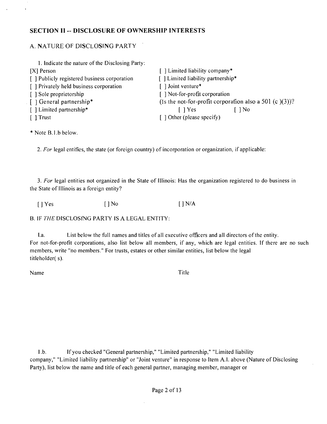## **SECTION II - DISCLOSURE OF OWNERSHIP INTERESTS**

## A. NATURE OF DISCLOSING PARTY

| 1. Indicate the nature of the Disclosing Party: |                                                           |
|-------------------------------------------------|-----------------------------------------------------------|
| $[X]$ Person                                    | [] Limited liability company*                             |
| [ ] Publicly registered business corporation    | [] Limited liability partnership*                         |
| [] Privately held business corporation          | [] Joint venture*                                         |
| [ ] Sole proprietorship                         | [] Not-for-profit corporation                             |
| [ ] General partnership*                        | (Is the not-for-profit corporation also a 501 (c $(3)$ )? |
| [ ] Limited partnership*                        | $\log$<br>$\lceil \ \rceil$ Yes                           |
| $\lceil$ 1 Trust                                | $\lceil$ 1 Other (please specify)                         |

\* Note B,l,b below.

2. For legal entifies, the state (or foreign country) of incorporation or organization, if applicable:

3. For legal entities not organized in the State of Illinois: Has the organization registered to do business in the State of Illinois as a foreign entity?

[ ] Yes [ ] No [ ] N/A

B, IF THE DISCLOSfNG PARTY IS A LEGAL ENTITY:

I,a. List below the full names and titles of all executive officers and all directors of the entity. For not-for-profit corporations, also list below all members, if any, which are legal entities. If there are no such members, write "no members," For trusts, estates or other similar entities, list below the legal titleholder( s).

Name Title

l.b. If you checked "General partnership," "Limited partnership," "Limited liability company," "Limited liability partnership" or "Joint venture" in response to Item A.l. above (Nature of Disclosing Party), list below the name and title of each general partner, managing member, manager or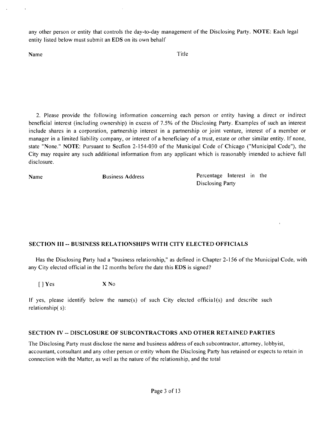any other person or entity that controls the day-to-day management of the Disclosing Party. NOTE: Each legal entity listed below must submit an EDS on its own behalf

Name Title

2, Please provide the following information concerning each person or entity having a direct or indirect beneficial interest (including ownership) in excess of 7,5% of the Disclosing Party, Examples of such an interest include shares in a corporation, partnership interest in a partnership or joint venture, interest of a member or manager in a limited liability company, or interest of a beneficiary of a trust, estate or other similar entity. If none, state "None." NOTE: Pursuant to Secfion 2-154-030 of the Municipal Code of Chicago ("Municipal Code"), the City may require any such additional information from any applicant which is reasonably intended to achieve full disclosure.

Name Business Address Percentage Interest in the Disclosing Party

## **SECTION III - BUSINESS RELATIONSHIPS WITH CITY ELECTED OFFICIALS**

Has the Disclosing Party had a "business relationship," as defined in Chapter 2-156 of the Municipal Code, with any City elected official in the 12 months before the date this EDS is signed?

 $[ ]$  Yes  $X$  No

If yes, please identify below the name(s) of such City elected official(s) and describe such relationship( s):

#### **SECTION IV - DISCLOSURE OF SUBCONTRACTORS AND OTHER RETAINED PARTIES**

The Disclosing Party must disclose the name and business address of each subcontractor, attorney, lobbyist, accountant, consultant and any other person or entity whom the Disclosing Party has retained or expects to retain in connection with the Matter, as well as the nature of the relationship, and the total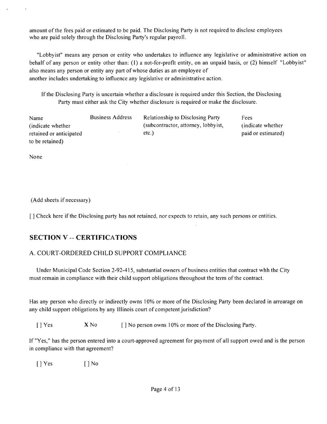amount ofthe fees paid or estimated to be paid. The Disclosing Party is not required to disclose employees who are paid solely through the Disclosing Party's regular payroll,

"Lobbyist" means any person or entity who undertakes to infiuence any legislative or administrative action on behalf of any person or entity other than: (1) a not-for-profit entity, on an unpaid basis, or (2) himself "Lobbyist" also means any person or entity any part of whose duties as an employee of another includes undertaking to influence any legislative or administrative action,

Ifthe Disclosing Party is uncertain whether a disclosure is required under this Section, the Disclosing Party must either ask the City whether disclosure is required or make the disclosure.

| Name                    | <b>Business Address</b> | <b>Relationship to Disclosing Party</b> | Fees               |
|-------------------------|-------------------------|-----------------------------------------|--------------------|
| (indicate whether)      |                         | (subcontractor, attorney, lobbyist,     | (indicate whether) |
| retained or anticipated |                         | etc.)                                   | paid or estimated) |
| to be retained)         |                         |                                         |                    |

None

 $\bar{a}$ 

(Add sheets if necessary)

[ ] Check here if the Disclosing party has not retained, nor expects to retain, any such persons or entities,

## **SECTION V -- CERTIFICATIONS**

## A. COURT-ORDERED CHILD SUPPORT COMPLIANCE

Under Municipal Code Section 2-92-415, substantial owners of business entities that contract whh the City must remain in compliance with their child support obligations throughout the term of the contract.

Has any person who directly or indirectly owns 10% or more of the Disclosing Party been declared in arrearage on any child support obligations by any Illinois court of competent jurisdiction?

[ ] Yes X No [ ] No person owns 10% or more of the Disclosing Party.

If "Yes," has the person entered into a court-approved agreement for payment of all support owed and is the person in compliance with that agreement?

[ ] Yes [ ] No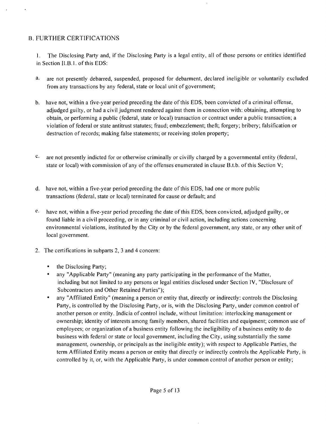## B. FURTHER CERTIFICATIONS

1. The Disclosing Party and, if the Disclosing Party is a legal entity, all of those persons or entities identified in Section ILB. I. of this EDS:

- a. are not presently debarred, suspended, proposed for debarment, declared ineligible or voluntarily excluded from any transactions by any federal, state or local unit of government;
- b. have not, within a tive-year period preceding the date of this EDS, been convicted of a criminal offense, adjudged guilty, or had a civil judgment rendered against them in connection with: obtaining, attempting lo obtain, or performing a public (federal, state or local) transaction or contract under a public transaction; a violation of federal or state antitrust statutes; fraud; embezzlement; theft; forgery; bribery; falsification or destruction of records; making false statements; or receiving stolen property;
- $c.$ are not presently indicted for or otherwise criminally or civilly charged by a governmental entity (federal, state or local) with commission of any of the offenses enumerated in clause B.t.b. of this Section V;
- d, have not, within a five-year period preceding the date of this EDS, had one or more public transactions (federal, state or local) terminated for cause or default; and
- $e$ . have not, within a five-year period preceding the date of this EDS, been convicted, adjudged guilty, or found liable in a civil proceeding, or in any criminal or civil action, including actions concerning environmental violations, instituted by the City or by the federal government, any state, or any other unit of local government,
- 2, The certifications in subparts 2, 3 and 4 concern:
	- the Disclosing Party;
	- any "Applicable Party" (meaning any party participating in the performance of the Matter, including but not limited to any persons or legal entities disclosed under Section IV, "Disclosure of Subcontractors and Other Retained Parties");
	- any "Affiliated Entity" (meaning a person or entity that, directly or indirectly: controls the Disclosing Party, is controlled by the Disclosing Party, or is, with the Disclosing Party, under common control of another person or entity. Indicia of control include, without limitation: interlocking management or ownership; identity of interests among family members, shared facilities and equipment; common use of employees; or organization of a business entity following the ineligibility of a business entity to do business with federal or state or local government, including the City, using substantially the same management, ownership, or principals as the ineligible entity); with respect to Applicable Parties, the term Affiliated Entity means a person or entity that directly or indirectly controls the Applicable Party, is controlled by it, or, with the Applicable Party, is under common control of another person or entity;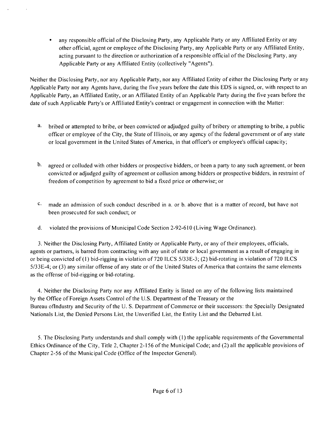• any responsible official of the Disclosing Party, any Applicable Party or any Affiliated Entity or any other official, agent or employee ofthe Disclosing Party, any Applicable Party or any Affiliated Entity, acting pursuant to the direction or authorization of a responsible official ofthe Disclosing Party, any Applicable Party or any Affiliated Entity (collectively "Agents"),

Neither the Disclosing Party, nor any Applicable Party, nor any Affiliated Entity of either the Disclosing Party or any Applicable Party nor any Agents have, during the five years before the date this EDS is signed, or, with respect to an Applicable Party, an Affiliated Entity, or an Affiliated Entity of an Applicable Party during the five years before the date of such Applicable Party's or Affiliated Entity's contract or engagement in connection with the Matter:

- a. bribed or attempted to bribe, or been convicted or adjudged guilty of bribery or attempting to bribe, a public officer or employee of the City, the State of Illinois, or any agency of the federal government or ofany state or local government in the United States of America, in that officer's or employee's official capacity;
- $\mathbf{b}$ . agreed or colluded with other bidders or prospective bidders, or been a party to any such agreement, or been convicted or adjudged guilty of agreement or collusion among bidders or prospective bidders, in restraint of freedom of competition by agreement to bid a fixed price or otherwise; or
- $c_{\cdot}$ made an admission of such conduct described in a, or b, above that is a matter of record, but have not been prosecuted for such conduct; or
- d, violated the provisions of Municipal Code Section 2-92-610 (Living Wage Ordinance),

3, Neither the Disclosing Party, Affiliated Entity or Applicable Party, or any of their employees, officials, agents or partners, is barred from contracting with any unit of state or local government as a result of engaging in or being convicted of (I) bid-rigging in violation of 720 ILCS 5/33E-3; (2) bid-rotating in violation of 720 ILCS 5/33E-4; or (3) any similar offense of any state or of the United States of America that contains the same elements as the offense of bid-rigging or bid-rotating,

4, Neither the Disclosing Party nor any Affiliated Entity is listed on any of the following lists maintained by the Office of Foreign Assets Control of the U.S, Department ofthe Treasury or the Bureau oflndustry and Security of the U, S, Department of Commerce or their successors: the Specially Designated Nationals List, the Denied Persons List, the Unverified List, the Entity List and the Debarred List,

5, The Disclosing Party understands and shall comply with (I) the applicable requirements ofthe Governmental Ethics Ordinance of the City, Title 2, Chapter 2-156 of the Municipal Code; and (2) all the applicable provisions of Chapter 2-56 of the Municipal Code (Office of the Inspector General).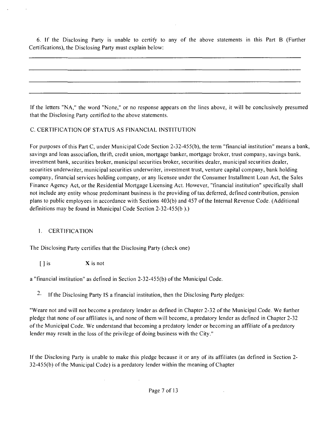6, If the Disclosing Party is unable to certity to any of the above statements in this Part B (Further Certifications), the Disclosing Party must explain below:

Ifthe letters "NA," the word "None," or no response appears on the lines above, it will be conclusively presumed that the Disclosing Party certified to the above statements,

## C. CERTIFICATION OF STATUS AS FINANCIAL INSTITUTION

For purposes ofthis Part C, under Municipal Code Section 2-32-455(b), the term "financial institution" means a bank, savings and loan associafion, thrift, credit union, mortgage banker, mortgage broker, trust company, savings bank, investment bank, securities broker, municipal securities broker, securities dealer, municipal securities dealer, securities underwriter, municipal securities underwriter, investment trust, venture capital company, bank holding company, financial services holding company, or any licensee under the Consumer Installment Loan Act, the Sales Finance Agency Act, or the Residential Mortgage Licensing Act. However, "financial institution" specifically shall not include any entity whose predominant business is the providing of tax deferred, defined contribution, pension plans to public employees in accordance with Sections 403(b) and 457 ofthe Internal Revenue Code (Additional definitions may be found in Municipal Code Section 2-32-455(b ),)

#### 1. CERTIFICATION

The Disclosing Party certifies that the Disclosing Party (check one)

 $\sim 10^7$ 

 $[ ]$  is  $X$  is not

a "financial institution" as defined in Section 2-32-455(b) of the Municipal Code.

 $2.$ Ifthe Disclosing Party IS a financial institution, then the Disclosing Party pledges:

"Weare not and will not become a predatory lender as defined in Chapter 2-32 of the Municipal Code. We further pledge that none of our affiliates is, and none of them will become, a predatory lender as defined in Chapter 2-32 of the Municipal Code, We understand that becoming a predatory lender or becoming an affiliate of a predatory lender may result in the loss of the privilege of doing business with the City."

If the Disclosing Party is unable to make this pledge because it or any of its affiliates (as defined in Section 2- $32-455(b)$  of the Municipal Code) is a predatory lender within the meaning of Chapter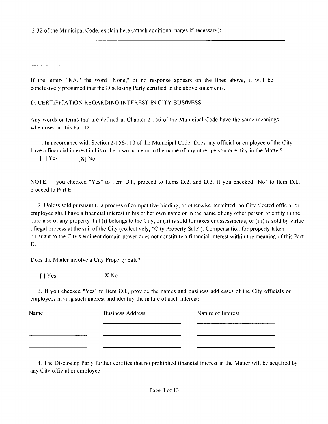2-32 of the Municipal Code, explain here (attach additional pages if necessary):

If the letters "NA," the word "None," or no response appears on the lines above, it will be conclusively presumed that the Disclosing Party certified to the above statements,

D, CERTIFICATION REGARDING INTEREST FN CITY BUSfNESS

Any words or terms that are defined in Chapter 2-156 of the Municipal Code have the same meanings when used in this Part D.

1, In accordance with Section 2-156-110 of the Municipal Code: Does any official or employee of the City have a financial interest in his or her own name or in the name of any other person or entity in the Matter?

 $[$  ] Yes  $[X]$  No

NOTE: If you checked "Yes" to Item D.l., proceed to Items D.2, and D.3. If you checked "No" to Item D.l., proceed to Part E,

2, Unless sold pursuant to a process of competitive bidding, or otherwise permitted, no City elected official or employee shall have a financial interest in his or her own name or in the name of any other person or entity in the purchase of any property that (i) belongs to the City, or (ii) is sold for taxes or assessments, or (iii) is sold by virtue ofiegal process at the suit of the City (collectively, "City Property Sale"), Compensation for property taken pursuant to the City's eminent domain power does not constitute a financial interest within the meaning of this Part D,

Does the Matter involve a City Property Sale?

 $\lceil \cdot \rceil$  Yes  $X \text{No}$ 

3, If you checked "Yes" to Item D.I., provide the names and business addresses of the City officials or employees having such interest and identify the nature of such interest:

| Name | <b>Business Address</b> | Nature of Interest |
|------|-------------------------|--------------------|
|      |                         |                    |
|      |                         |                    |

4, The Disclosing Party further certifies that no prohibited financial interest in the Matter will be acquired by any City official or employee.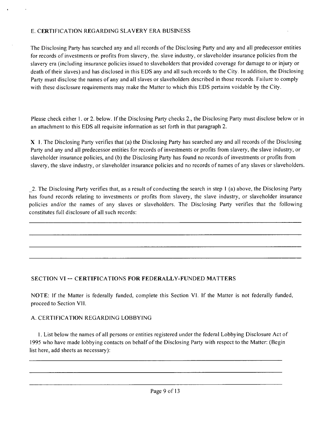#### E. CERTIFICATION REGARDING SLAVERY ERA BUSINESS

The Disclosing Party has searched any and all records of the Disclosing Party and any and all predecessor entities for records of investments or profits from slavery, the. slave industry, or slaveholder insurance policies from the slavery era (including insurance policies issued to slaveholders that provided coverage for damage to or injury or death of their slaves) and has disclosed in this EDS any and all such records to the City. In addition, the Disclosing Party must disclose the names of any and all slaves or slaveholders described in those records. Failure to comply with these disclosure requirements may make the Matter to which this EDS pertains voidable by the City,

Please check either 1, or 2, below. If the Disclosing Party checks 2, the Disclosing Party must disclose below or in an attachment to this EDS all requisite information as set forth in that paragraph 2,

X 1. The Disclosing Party verifies that (a) the Disclosing Party has searched any and all records of the Disclosing Party and any and all predecessor entities for records of investments or profits from slavery, the slave industry, or slaveholder insurance policies, and (b) the Disclosing Party has found no records of investments or profits from slavery, the slave industry, or slaveholder insurance policies and no records of names of any slaves or slaveholders.

2, The Disclosing Party verifies that, as a result of conducting the search in step I (a) above, the Disclosing Party has found records relating to investments or profits from slavery, the slave industry, or slaveholder insurance policies and/or the names of any slaves or slaveholders. The Disclosing Party verifies that the following constitutes full disclosure of all such records:

## **SECTION VI ~ CERTIFICATIONS FOR FEDERALLY-FUNDED MATTERS**

NOTE: If the Matter is federally funded, complete this Section VI. If the Matter is not federally funded, proceed to Section VII.

## A. CERTIFICATION REGARDING LOBBYING

1, List below the names of all persons or entities registered under the federal Lobbying Disclosure Act of 1995 who have made lobbying contacts on behalf ofthe Disclosing Party with respect to the Matter: (Begin list here, add sheets as necessary):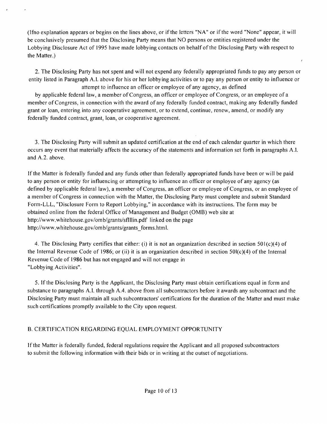(Ifno explanation appears or begins on the lines above, or if the letters "NA" or ifthe word "None" appear, it will be conclusively presumed that the Disclosing Party means that NO persons or entities registered under the Lobbying Disclosure Act of 1995 have made lobbying contacts on behalf of the Disclosing Party with respect to the Matter,)

2, The Disclosing Party has not spent and will not expend any federally appropriated funds to pay any person or entity listed in Paragraph A,I, above for his or her lobbying activities or to pay any person or entity to influence or attempt to influence an officer or employee of any agency, as defined

by applicable federal law, a member of Congress, an officer or employee of Congress, or an employee of a member of Congress, in connection with the award of any federally funded contract, making any federally funded grant or loan, entering into any cooperative agreement, or to extend, continue, renew, amend, or modify any federally funded contract, grant, loan, or cooperative agreement.

3, The Disclosing Party will submit an updated certification at the end of each calendar quarter in which there occurs any event that materially affects the accuracy of the statements and information set forth in paragraphs A, I. and A,2, above.

If the Matter is federally funded and any funds other than federally appropriated funds have been or will be paid to any person or entity for influencing or attempting to influence an officer or employee of any agency (as defined by applicable federal law), a member of Congress, an officer or employee of Congress, or an employee of a member of Congress in connection with the Matter, the Disclosing Party must complete and submit Standard Form-LLL, "Disclosure Form to Report Lobbying," in accordance with its instructions. The form may be obtained online from the federal Office of Management and Budget (OMB) web site at http://www,whitehouse,gov/omb/grants/sflllin,pdf linked on the page http://vvww,whitehouse,gov/omb/grants/grants\_forms,html,

4, The Disclosing Party certifies that either: (i) it is not an organization described in section 501(c)(4) of the Internal Revenue Code of 1986; or (ii) it is an organization described in section  $50I(c)(4)$  of the Internal Revenue Code of 1986 but has not engaged and will not engage in "Lobbying Activities",

5, Ifthe Disclosing Party is the Applicant, the Disclosing Party must obtain certifications equal in form and substance to paragraphs A,I, through A,4. above from all subcontractors before it awards any subcontract and the Disclosing Party must maintain all such subcontractors' certifications for the duration of the Matter and must make such certifications promptly available to the City upon request.

## B, CERTIFICATION REGARDING EQUAL EMPLOYMENT OPPORTUNITY

Ifthe Matter is federally funded, federal regulations require the Applicant and all proposed subcontractors to submit the following information with their bids or in writing at the outset of negotiations.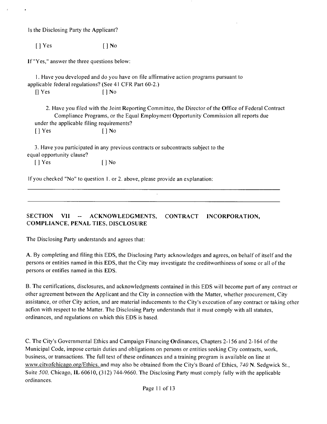Is the Disclosing Party the Applicant?

[ ] Yes [ ] No

If "Yes," answer the three questions below:

1, Have you developed and do you have on file affirmative action programs pursuant to applicable federal regulations? (See 41 CFR Part 60-2,)  $[$   $]$  Yes  $[$   $]$  No

2, Have you filed with the Joint Reporting Committee, the Director of the Office of Federal Contract Compliance Programs, or the Equal Employment Opportunity Commission all reports due under the applicable filing requirements?

 $[ ]$  Yes  $[ ]$  No

3, Have you participated in any previous contracts or subcontracts subject to the equal opportunity clause?

[] Yes [] No

If you checked "No" to question I, or 2, above, please provide an explanation:

**SECTION VII ~ ACKNOWLEDGMENTS, CONTRACT INCORPORATION, COMPLIANCE, PENAL TIES, DISCLOSURE** 

The Disclosing Party understands and agrees that:

A, By completing and filing this EDS, the Disclosing Party acknowledges and agrees, on behalf of itself and the persons or entities named in this EDS, that the City may investigate the creditworthiness of some or all of the persons or entifies named in this EDS,

B, The certifications, disclosures, and acknowledgments contained in this EDS will become part of any contract or other agreement between the Applicant and the City in connection with the Matter, whether procurement, City assistance, or other City action, and are material inducements to the City's execution ofany contract or taking other acfion with respect to the Matter, The Disclosing Party understands that it must comply with all statutes, ordinances, and regulations on which this EDS is based.

C, The City's Governmental Ethics and Campaign Financing Ordinances, Chapters 2-156 and 2-164 of the Municipal Code, impose certain duties and obligations on persons or entities seeking City contracts, work, business, or transactions. The full text of these ordinances and a training program is available on line at www.citvofchicago.org/Ethics, and may also be obtained from the City's Board of Ethics, 740 N. Sedgwick St., Suite 500, Chicago, IL 60610, (312) 744-9660, The Disclosing Party must comply fully with the applicable ordinances.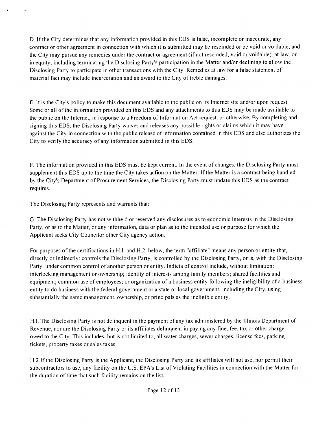D. If the City determines that any information provided in this EDS is false, incomplete or inaccurate, any contract or other agreement in connection with which it is submitted may be rescinded or be void or voidable, and the City may pursue any remedies under the contract or agreement (if not rescinded, void or voidable), at law, or in equity, including terminating the Disclosing Party's participation in the Matter and/or declining to allow the Disclosing Party to participate in other transactions with the City. Remedies at law for a false statement of material fact may include incarceration and an award to the City of treble damages.

E, It is the City's policy to make this document available to the public on its Internet site and/or upon request. Some or all of the information provided on this EDS and any attachments to this EDS may be made available to the public on the Internet, in response to a Freedom of Information Act request, or otherwise. By completing and signing this EDS, the Disclosing Party waives and releases any possible rights or claims which it may have against the City in connection with the public release of infonnation contained in this EDS and also authorizes the City to verify the accuracy of any information submitted in this EDS,

F, The information provided in this EDS must be kept current. In the event of changes, the Disclosing Party must supplement this EDS up to the time the City takes acfion on the Matter. If the Matter is a contract being handled by the City's Department of Procurement Services, the Disclosing Party must update this EDS as the contract requires.

The Disclosing Party represents and warrants that:

G. The Disclosing Party has not withheld or reserved any disclosures as to economic interests in the Disclosing Party, or as to the Matter, or any information, data or plan as to the intended use or purpose for which the Applicant seeks City Councilor other City agency action.

For purposes ofthe certifications in H,l. and H,2, below, the term "affiliate" means any person or entity that, directly or indirectly: controls the Disclosing Party, is controlled by the Disclosing Party, or is, with the Disclosing Party, under common control of another person or entity. Indicia of control include, without limitation: interlocking management or ownership; identity of interests among family members; shared facilities and equipment; common use of employees; or organization of a business entity following the ineligibility of a business entity to do business with the federal government or a state or local government, including the City, using substantially the same management, ownership, or principals as the ineligible entity.

H,l, The Disclosing Party is not delinquent in the payment of any tax administered by the Illinois Department of Revenue, nor are the Disclosing Party or its affiliates delinquent in paying any fine, fee, tax or other charge owed to the City, This includes, but is not limited to, all water charges, sewer charges, license fees, parking tickets, property taxes or sales taxes.

H,2 Ifthe Disclosing Party is the Applicant, the Disclosing Party and its affiliates will not use, nor permit their subcontractors to use, any facility on the U.S. EPA's List of Violating Facilities in connection with the Matter for the duration of time that such facility remains on the list.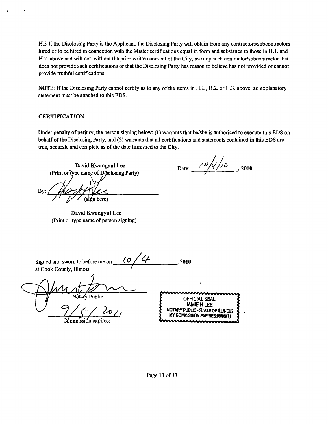H.3 If the Disclosing Party is the Applicant, the Disclosing Party will obtain firom any contractors/subcontractors hired or to be hired in connection with the Matter certifications equal in form and substance to those in H.1. and H.2. above and will not, without the prior written consent of the City, use any such contractor/subcontractor that does not provide such certifications or that the Disclosing Party has reason to believe has not provided or cannot provide truthful certif cations.

NOTE: If the Disclosing Party cannot certify as to any of the items in H.L, H.2. or H.3. above, an explanatory statement must be attached to this EDS.

#### **CERTIFICATION**

Under penalty of perjury, the person signing below: (1) warrants that he/she is authorized to execute this EDS on behalf of the Disclosing Party, and (2) warrants that all certifications and statements contained in this EDS are true, accurate and complete as of the date fumished to the City.

David Kwangyul Lee (Print or type name of Disclosing Party) By:

David Kwangyul Lee (Print or type name of person signing)

Date:  $\frac{10}{4}$ /0  $_{2010}$ 

| LΟ<br>Signed and swom to before me on<br>at Cook County, Illinois | 2010                                                                                                              |
|-------------------------------------------------------------------|-------------------------------------------------------------------------------------------------------------------|
| Notary Public                                                     | <b>OFFICIAL SEAL</b><br><b>JAMIE H LEE</b><br>NOTARY PUBLIC - STATE OF ILLINOIS<br>MY COMMISSION EXPIRES:09/05/11 |
| expires:                                                          |                                                                                                                   |

Page 13 of 13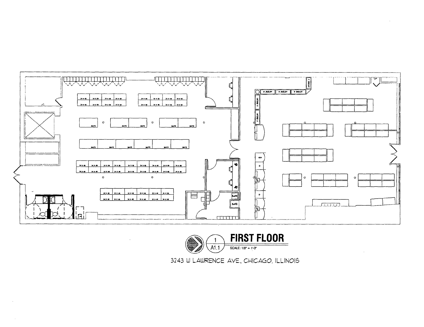



3243 W LAWRENCE AVE., CHICAGO, ILLINOIS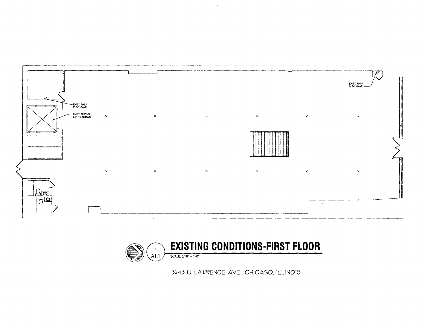



3243 lU LAWRENCE AVE., CHICAGO, ILLINOIS